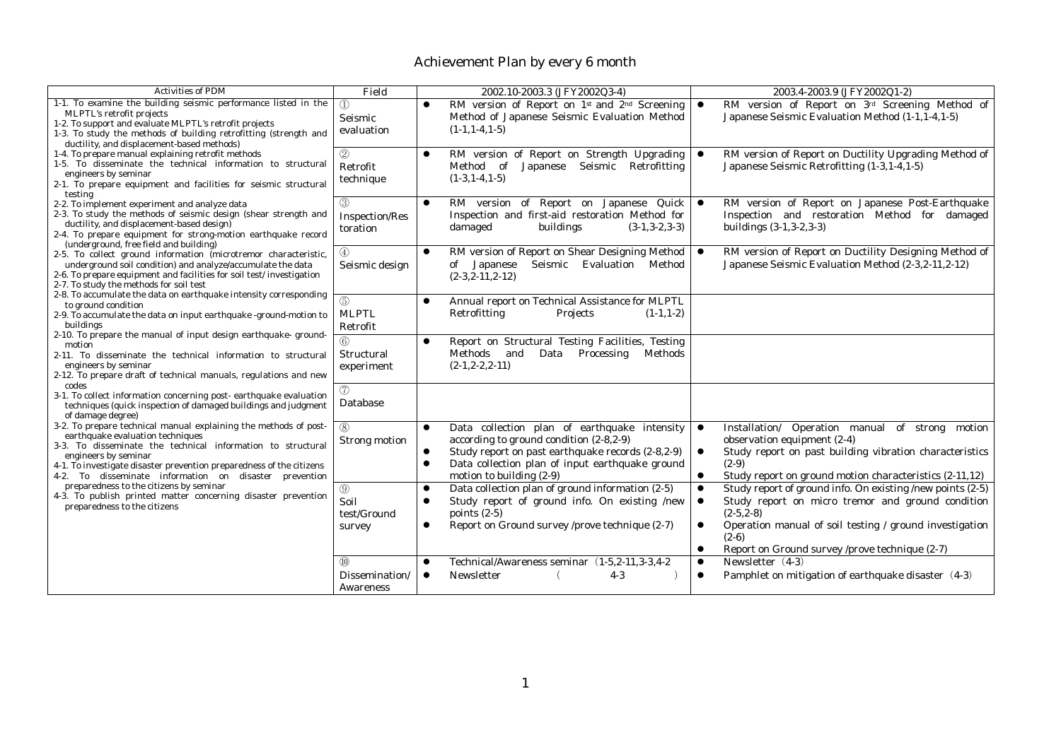| <b>Activities of PDM</b>                                                                                                                                                                                                                                                                                                      | Field                                     | 2002.10-2003.3 (JFY2002Q3-4)                                                                                                                                                                                                                             | 2003.4-2003.9 (JFY2002Q1-2)                                                                                                                                                                                                                                                                    |
|-------------------------------------------------------------------------------------------------------------------------------------------------------------------------------------------------------------------------------------------------------------------------------------------------------------------------------|-------------------------------------------|----------------------------------------------------------------------------------------------------------------------------------------------------------------------------------------------------------------------------------------------------------|------------------------------------------------------------------------------------------------------------------------------------------------------------------------------------------------------------------------------------------------------------------------------------------------|
| 1-1. To examine the building seismic performance listed in the<br>MLPTL's retrofit projects<br>1-2. To support and evaluate MLPTL's retrofit projects<br>1-3. To study the methods of building retrofitting (strength and<br>ductility, and displacement-based methods)                                                       | $\mathcal{D}$<br>Seismic<br>evaluation    | RM version of Report on 1 <sup>st</sup> and 2 <sup>nd</sup> Screening<br>Method of Japanese Seismic Evaluation Method<br>$(1-1.1-4.1-5)$                                                                                                                 | RM version of Report on 3rd Screening Method of<br>Japanese Seismic Evaluation Method (1-1, 1-4, 1-5)                                                                                                                                                                                          |
| 1-4. To prepare manual explaining retrofit methods<br>1-5. To disseminate the technical information to structural<br>engineers by seminar<br>2-1. To prepare equipment and facilities for seismic structural<br>testing                                                                                                       | 2<br>Retrofit<br>technique                | RM version of Report on Strength Upgrading<br>$\bullet$<br>Retrofitting<br>Method of<br>Japanese<br>Seismic<br>$(1-3, 1-4, 1-5)$                                                                                                                         | RM version of Report on Ductility Upgrading Method of<br>Japanese Seismic Retrofitting (1-3,1-4,1-5)                                                                                                                                                                                           |
| 2-2. To implement experiment and analyze data<br>2-3. To study the methods of seismic design (shear strength and<br>ductility, and displacement-based design)<br>2-4. To prepare equipment for strong-motion earthquake record<br>(underground, free field and building)                                                      | (3)<br><b>Inspection/Res</b><br>toration  | RM version of Report on Japanese Quick<br>$\bullet$<br>Inspection and first-aid restoration Method for<br>damaged<br>buildings<br>$(3-1, 3-2, 3-3)$                                                                                                      | RM version of Report on Japanese Post-Earthquake<br>$\bullet$<br>Inspection and restoration Method for damaged<br>buildings $(3-1, 3-2, 3-3)$                                                                                                                                                  |
| 2-5. To collect ground information (microtremor characteristic,<br>underground soil condition) and analyze/accumulate the data<br>2-6. To prepare equipment and facilities for soil test/investigation<br>2-7. To study the methods for soil test                                                                             | $\left(4\right)$<br>Seismic design        | RM version of Report on Shear Designing Method<br>$\bullet$<br>Seismic<br>Evaluation Method<br>of Japanese<br>$(2-3, 2-11, 2-12)$                                                                                                                        | RM version of Report on Ductility Designing Method of<br>Japanese Seismic Evaluation Method (2-3,2-11,2-12)                                                                                                                                                                                    |
| 2-8. To accumulate the data on earthquake intensity corresponding<br>to ground condition<br>2-9. To accumulate the data on input earthquake -ground-motion to<br>buildings<br>2-10. To prepare the manual of input design earthquake-ground-                                                                                  | (5)<br><b>MLPTL</b><br>Retrofit           | Annual report on Technical Assistance for MLPTL<br>$\bullet$<br>Retrofitting<br>Projects<br>$(1-1, 1-2)$                                                                                                                                                 |                                                                                                                                                                                                                                                                                                |
| motion<br>2-11. To disseminate the technical information to structural<br>engineers by seminar<br>2-12. To prepare draft of technical manuals, regulations and new<br>codes                                                                                                                                                   | $\circled{6}$<br>Structural<br>experiment | Report on Structural Testing Facilities, Testing<br>$\bullet$<br>Data Processing<br>Methods<br>Methods and<br>$(2-1, 2-2, 2-11)$                                                                                                                         |                                                                                                                                                                                                                                                                                                |
| 3-1. To collect information concerning post-earthquake evaluation<br>techniques (quick inspection of damaged buildings and judgment<br>of damage degree)                                                                                                                                                                      | (7)<br>Database                           |                                                                                                                                                                                                                                                          |                                                                                                                                                                                                                                                                                                |
| 3-2. To prepare technical manual explaining the methods of post-<br>earthquake evaluation techniques<br>3-3. To disseminate the technical information to structural<br>engineers by seminar<br>4-1. To investigate disaster prevention preparedness of the citizens<br>4-2. To disseminate information on disaster prevention | (8)<br>Strong motion                      | Data collection plan of earthquake intensity<br>$\bullet$<br>according to ground condition (2-8, 2-9)<br>Study report on past earthquake records (2-8,2-9)<br>Data collection plan of input earthquake ground<br>$\bullet$<br>motion to building $(2-9)$ | Installation/ Operation manual of strong motion<br>$\bullet$<br>observation equipment (2-4)<br>Study report on past building vibration characteristics<br>$(2-9)$<br>Study report on ground motion characteristics (2-11,12)<br>$\bullet$                                                      |
| preparedness to the citizens by seminar<br>4-3. To publish printed matter concerning disaster prevention<br>preparedness to the citizens                                                                                                                                                                                      | (9)<br>Soil<br>test/Ground<br>survey      | Data collection plan of ground information (2-5)<br>$\bullet$<br>Study report of ground info. On existing /new<br>$\bullet$<br>points $(2-5)$<br>Report on Ground survey /prove technique (2-7)<br>$\bullet$                                             | Study report of ground info. On existing /new points (2-5)<br>$\bullet$<br>Study report on micro tremor and ground condition<br>$(2-5, 2-8)$<br>Operation manual of soil testing / ground investigation<br>$\bullet$<br>$(2-6)$<br>Report on Ground survey /prove technique (2-7)<br>$\bullet$ |
|                                                                                                                                                                                                                                                                                                                               | (10)<br>Dissemination/<br>Awareness       | Technical/Awareness seminar (1-5,2-11,3-3,4-2)<br>$\bullet$<br>Newsletter<br>$4-3$<br>$\bullet$                                                                                                                                                          | Newsletter (4-3)<br>$\bullet$<br>Pamphlet on mitigation of earthquake disaster (4-3)                                                                                                                                                                                                           |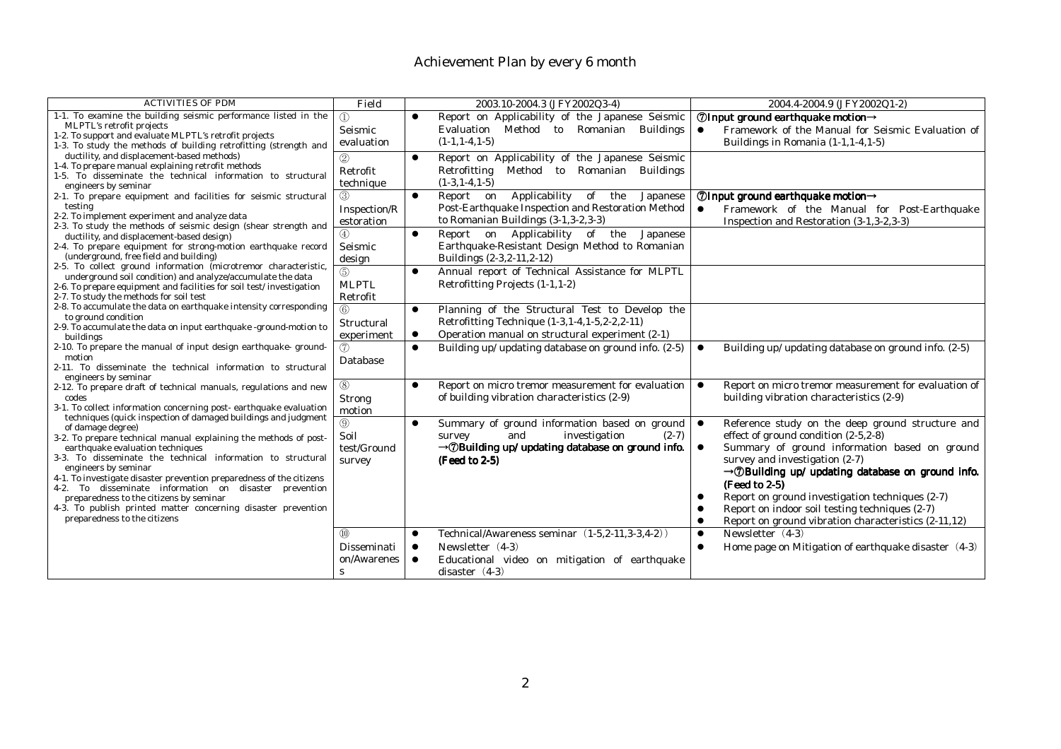| <b>ACTIVITIES OF PDM</b>                                                                                                                                                                                                                                                                                                                                                                                                                                                                                                                                                                                                                                                                                                                                                                                                                                                                                                                                                                                                                                                                                                                                                                                                                                                                                                                                                                                                                                                                                                                                                                                                                                                                                                                                                                                                                                                                                                                                                                                                                                                                                    | Field                                                   |                                     | 2003.10-2004.3 (JFY2002Q3-4)                                                                                                                                                 | 2004.4-2004.9 (JFY2002Q1-2)                                                                                                                                                                                                                                                                                                                                                                                                                                     |
|-------------------------------------------------------------------------------------------------------------------------------------------------------------------------------------------------------------------------------------------------------------------------------------------------------------------------------------------------------------------------------------------------------------------------------------------------------------------------------------------------------------------------------------------------------------------------------------------------------------------------------------------------------------------------------------------------------------------------------------------------------------------------------------------------------------------------------------------------------------------------------------------------------------------------------------------------------------------------------------------------------------------------------------------------------------------------------------------------------------------------------------------------------------------------------------------------------------------------------------------------------------------------------------------------------------------------------------------------------------------------------------------------------------------------------------------------------------------------------------------------------------------------------------------------------------------------------------------------------------------------------------------------------------------------------------------------------------------------------------------------------------------------------------------------------------------------------------------------------------------------------------------------------------------------------------------------------------------------------------------------------------------------------------------------------------------------------------------------------------|---------------------------------------------------------|-------------------------------------|------------------------------------------------------------------------------------------------------------------------------------------------------------------------------|-----------------------------------------------------------------------------------------------------------------------------------------------------------------------------------------------------------------------------------------------------------------------------------------------------------------------------------------------------------------------------------------------------------------------------------------------------------------|
| 1-1. To examine the building seismic performance listed in the<br>MLPTL's retrofit projects<br>1-2. To support and evaluate MLPTL's retrofit projects<br>1-3. To study the methods of building retrofitting (strength and<br>ductility, and displacement-based methods)<br>1-4. To prepare manual explaining retrofit methods<br>1-5. To disseminate the technical information to structural<br>engineers by seminar<br>2-1. To prepare equipment and facilities for seismic structural<br>testing<br>2-2. To implement experiment and analyze data<br>2-3. To study the methods of seismic design (shear strength and<br>ductility, and displacement-based design)<br>2-4. To prepare equipment for strong-motion earthquake record<br>(underground, free field and building)<br>2-5. To collect ground information (microtremor characteristic,<br>underground soil condition) and analyze/accumulate the data<br>2-6. To prepare equipment and facilities for soil test/investigation<br>2-7. To study the methods for soil test<br>2-8. To accumulate the data on earthquake intensity corresponding<br>to ground condition<br>2-9. To accumulate the data on input earthquake -ground-motion to<br>buildings<br>2-10. To prepare the manual of input design earthquake-ground-<br>motion<br>2-11. To disseminate the technical information to structural<br>engineers by seminar<br>2-12. To prepare draft of technical manuals, regulations and new<br>codes<br>3-1. To collect information concerning post-earthquake evaluation<br>techniques (quick inspection of damaged buildings and judgment<br>of damage degree)<br>3-2. To prepare technical manual explaining the methods of post-<br>earthquake evaluation techniques<br>3-3. To disseminate the technical information to structural<br>engineers by seminar<br>4-1. To investigate disaster prevention preparedness of the citizens<br>4-2. To disseminate information on disaster prevention<br>preparedness to the citizens by seminar<br>4-3. To publish printed matter concerning disaster prevention<br>preparedness to the citizens | $\textcircled{\scriptsize{1}}$<br>Seismic<br>evaluation |                                     | Report on Applicability of the Japanese Seismic<br>Evaluation Method to Romanian<br><b>Buildings</b><br>$(1-1, 1-4, 1-5)$                                                    | $\oslash$ Input ground earthquake motion $\rightarrow$<br>Framework of the Manual for Seismic Evaluation of<br>$\bullet$<br>Buildings in Romania (1-1,1-4,1-5)                                                                                                                                                                                                                                                                                                  |
|                                                                                                                                                                                                                                                                                                                                                                                                                                                                                                                                                                                                                                                                                                                                                                                                                                                                                                                                                                                                                                                                                                                                                                                                                                                                                                                                                                                                                                                                                                                                                                                                                                                                                                                                                                                                                                                                                                                                                                                                                                                                                                             | (2)<br>Retrofit<br>technique                            | $\bullet$                           | Report on Applicability of the Japanese Seismic<br>Retrofitting Method to Romanian Buildings<br>$(1-3, 1-4, 1-5)$                                                            |                                                                                                                                                                                                                                                                                                                                                                                                                                                                 |
|                                                                                                                                                                                                                                                                                                                                                                                                                                                                                                                                                                                                                                                                                                                                                                                                                                                                                                                                                                                                                                                                                                                                                                                                                                                                                                                                                                                                                                                                                                                                                                                                                                                                                                                                                                                                                                                                                                                                                                                                                                                                                                             | Inspection/R<br>estoration                              | $\bullet$                           | Applicability<br>of the<br>Report on<br>Japanese<br>Post-Earthquake Inspection and Restoration Method<br>to Romanian Buildings (3-1,3-2,3-3)                                 | $\oslash$ Input ground earthquake motion $\rightarrow$<br>$\bullet$<br>Framework of the Manual for Post-Earthquake<br>Inspection and Restoration (3-1,3-2,3-3)                                                                                                                                                                                                                                                                                                  |
|                                                                                                                                                                                                                                                                                                                                                                                                                                                                                                                                                                                                                                                                                                                                                                                                                                                                                                                                                                                                                                                                                                                                                                                                                                                                                                                                                                                                                                                                                                                                                                                                                                                                                                                                                                                                                                                                                                                                                                                                                                                                                                             | 4<br>Seismic<br>design                                  | $\bullet$                           | Report on Applicability of the<br>Japanese<br>Earthquake-Resistant Design Method to Romanian<br>Buildings (2-3,2-11,2-12)                                                    |                                                                                                                                                                                                                                                                                                                                                                                                                                                                 |
|                                                                                                                                                                                                                                                                                                                                                                                                                                                                                                                                                                                                                                                                                                                                                                                                                                                                                                                                                                                                                                                                                                                                                                                                                                                                                                                                                                                                                                                                                                                                                                                                                                                                                                                                                                                                                                                                                                                                                                                                                                                                                                             | (5)<br><b>MLPTL</b><br>Retrofit                         | $\bullet$                           | Annual report of Technical Assistance for MLPTL<br>Retrofitting Projects (1-1,1-2)                                                                                           |                                                                                                                                                                                                                                                                                                                                                                                                                                                                 |
|                                                                                                                                                                                                                                                                                                                                                                                                                                                                                                                                                                                                                                                                                                                                                                                                                                                                                                                                                                                                                                                                                                                                                                                                                                                                                                                                                                                                                                                                                                                                                                                                                                                                                                                                                                                                                                                                                                                                                                                                                                                                                                             | $\circled{6}$<br>Structural<br>experiment               | $\bullet$<br>$\bullet$              | Planning of the Structural Test to Develop the<br>Retrofitting Technique (1-3, 1-4, 1-5, 2-2, 2-11)<br>Operation manual on structural experiment (2-1)                       |                                                                                                                                                                                                                                                                                                                                                                                                                                                                 |
|                                                                                                                                                                                                                                                                                                                                                                                                                                                                                                                                                                                                                                                                                                                                                                                                                                                                                                                                                                                                                                                                                                                                                                                                                                                                                                                                                                                                                                                                                                                                                                                                                                                                                                                                                                                                                                                                                                                                                                                                                                                                                                             | (7)<br>Database                                         | $\bullet$                           | Building up/ updating database on ground info. (2-5)                                                                                                                         | Building up/ updating database on ground info. (2-5)<br>$\bullet$                                                                                                                                                                                                                                                                                                                                                                                               |
|                                                                                                                                                                                                                                                                                                                                                                                                                                                                                                                                                                                                                                                                                                                                                                                                                                                                                                                                                                                                                                                                                                                                                                                                                                                                                                                                                                                                                                                                                                                                                                                                                                                                                                                                                                                                                                                                                                                                                                                                                                                                                                             | $^{\circledR}$<br>Strong<br>motion                      |                                     | Report on micro tremor measurement for evaluation<br>of building vibration characteristics (2-9)                                                                             | Report on micro tremor measurement for evaluation of<br>$\bullet$<br>building vibration characteristics (2-9)                                                                                                                                                                                                                                                                                                                                                   |
|                                                                                                                                                                                                                                                                                                                                                                                                                                                                                                                                                                                                                                                                                                                                                                                                                                                                                                                                                                                                                                                                                                                                                                                                                                                                                                                                                                                                                                                                                                                                                                                                                                                                                                                                                                                                                                                                                                                                                                                                                                                                                                             | $\circledcirc$<br>Soil<br>test/Ground<br>survey         |                                     | Summary of ground information based on ground<br>investigation<br>and<br>$(2-7)$<br>survey<br>$\rightarrow$ DBuilding up/ updating database on ground info.<br>(Feed to 2-5) | Reference study on the deep ground structure and<br>$\bullet$<br>effect of ground condition $(2-5, 2-8)$<br>Summary of ground information based on ground<br>$\bullet$<br>survey and investigation (2-7)<br>$\rightarrow$ <i>D</i> Building up/ updating database on ground info.<br>(Feed to 2-5)<br>Report on ground investigation techniques (2-7)<br>Report on indoor soil testing techniques (2-7)<br>Report on ground vibration characteristics (2-11,12) |
|                                                                                                                                                                                                                                                                                                                                                                                                                                                                                                                                                                                                                                                                                                                                                                                                                                                                                                                                                                                                                                                                                                                                                                                                                                                                                                                                                                                                                                                                                                                                                                                                                                                                                                                                                                                                                                                                                                                                                                                                                                                                                                             | $\circled{10}$<br>Disseminati<br>on/Awarenes<br>s       | $\bullet$<br>$\bullet$<br>$\bullet$ | Technical/Awareness seminar (1-5,2-11,3-3,4-2))<br>Newsletter (4-3)<br>Educational video on mitigation of earthquake<br>disaster $(4-3)$                                     | Newsletter (4-3)<br>$\bullet$<br>Home page on Mitigation of earthquake disaster $(4-3)$<br>$\bullet$                                                                                                                                                                                                                                                                                                                                                            |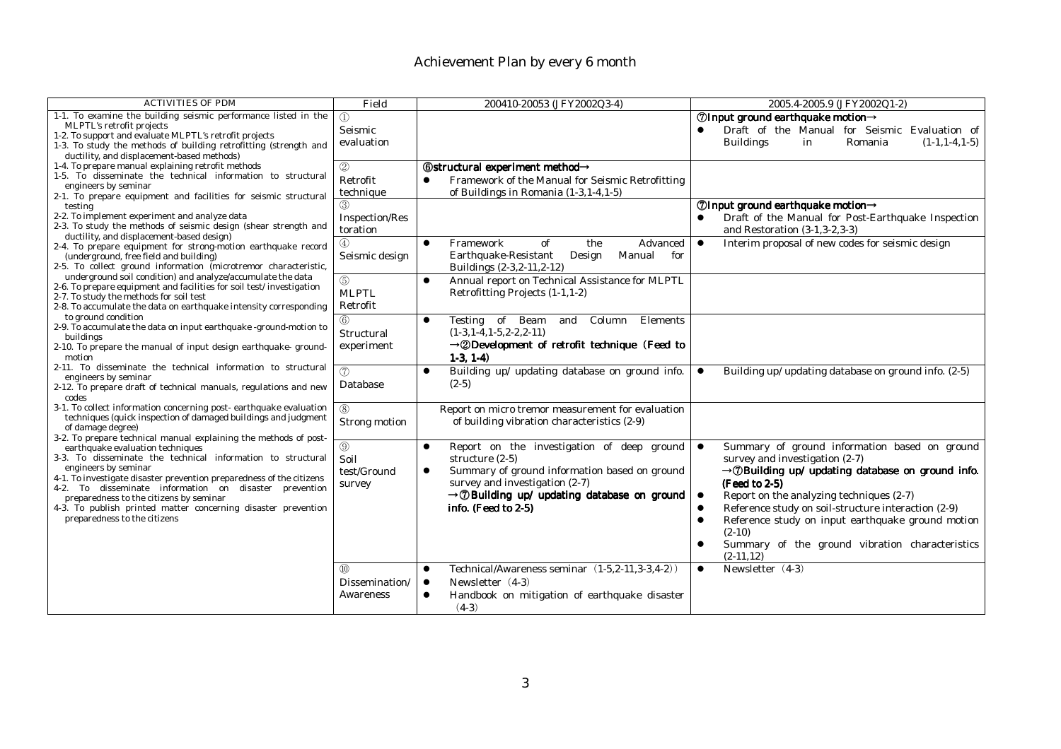| <b>ACTIVITIES OF PDM</b>                                                                                                            | Field             | 200410-20053 (JFY2002Q3-4)                                      | 2005.4-2005.9 (JFY2002Q1-2)                                           |
|-------------------------------------------------------------------------------------------------------------------------------------|-------------------|-----------------------------------------------------------------|-----------------------------------------------------------------------|
| 1-1. To examine the building seismic performance listed in the                                                                      | $\textcircled{1}$ |                                                                 | ⑦Input ground earthquake motion→                                      |
| MLPTL's retrofit projects                                                                                                           | Seismic           |                                                                 | Draft of the Manual for Seismic Evaluation of                         |
| 1-2. To support and evaluate MLPTL's retrofit projects                                                                              | evaluation        |                                                                 | Romania<br><b>Buildings</b><br>$(1-1.1-4.1-5)$<br>in                  |
| 1-3. To study the methods of building retrofitting (strength and                                                                    |                   |                                                                 |                                                                       |
| ductility, and displacement-based methods)<br>1-4. To prepare manual explaining retrofit methods                                    |                   |                                                                 |                                                                       |
| 1-5. To disseminate the technical information to structural                                                                         | 2                 | <b>6</b> Structural experiment method→                          |                                                                       |
| engineers by seminar                                                                                                                | Retrofit          | Framework of the Manual for Seismic Retrofitting                |                                                                       |
| 2-1. To prepare equipment and facilities for seismic structural                                                                     | technique         | of Buildings in Romania (1-3, 1-4, 1-5)                         |                                                                       |
| testing                                                                                                                             |                   |                                                                 | $\oslash$ Input ground earthquake motion $\rightarrow$                |
| 2-2. To implement experiment and analyze data                                                                                       | Inspection/Res    |                                                                 | Draft of the Manual for Post-Earthquake Inspection                    |
| 2-3. To study the methods of seismic design (shear strength and                                                                     | toration          |                                                                 | and Restoration (3-1, 3-2, 3-3)                                       |
| ductility, and displacement-based design)                                                                                           |                   | Framework<br>Advanced<br>$\bullet$                              | $\bullet$<br>Interim proposal of new codes for seismic design         |
| 2-4. To prepare equipment for strong-motion earthquake record                                                                       | (4)               | of<br>the                                                       |                                                                       |
| (underground, free field and building)                                                                                              | Seismic design    | Earthquake-Resistant<br>Manual<br>for<br>Design                 |                                                                       |
| 2-5. To collect ground information (microtremor characteristic,                                                                     |                   | Buildings (2-3,2-11,2-12)                                       |                                                                       |
| underground soil condition) and analyze/accumulate the data<br>2-6. To prepare equipment and facilities for soil test/investigation | $\circledS$       | Annual report on Technical Assistance for MLPTL<br>$\bullet$    |                                                                       |
| 2-7. To study the methods for soil test                                                                                             | <b>MLPTL</b>      | Retrofitting Projects (1-1,1-2)                                 |                                                                       |
| 2-8. To accumulate the data on earthquake intensity corresponding                                                                   | Retrofit          |                                                                 |                                                                       |
| to ground condition                                                                                                                 | $\circledS$       | Testing of Beam<br>Elements<br>Column<br>$\bullet$              |                                                                       |
| 2-9. To accumulate the data on input earthquake -ground-motion to                                                                   |                   | and                                                             |                                                                       |
| buildings                                                                                                                           | Structural        | $(1-3, 1-4, 1-5, 2-2, 2-11)$                                    |                                                                       |
| 2-10. To prepare the manual of input design earthquake-ground-                                                                      | experiment        | $\rightarrow$ 2Development of retrofit technique (Feed to       |                                                                       |
| motion                                                                                                                              |                   | $1-3, 1-4)$                                                     |                                                                       |
| 2-11. To disseminate the technical information to structural                                                                        | (7)               | Building up/ updating database on ground info.<br>$\bullet$     | Building up/ updating database on ground info. (2-5)<br>$\bullet$     |
| engineers by seminar                                                                                                                | Database          | $(2-5)$                                                         |                                                                       |
| 2-12. To prepare draft of technical manuals, regulations and new<br>codes                                                           |                   |                                                                 |                                                                       |
| 3-1. To collect information concerning post-earthquake evaluation                                                                   | (8)               | Report on micro tremor measurement for evaluation               |                                                                       |
| techniques (quick inspection of damaged buildings and judgment                                                                      |                   |                                                                 |                                                                       |
| of damage degree)                                                                                                                   | Strong motion     | of building vibration characteristics (2-9)                     |                                                                       |
| 3-2. To prepare technical manual explaining the methods of post-                                                                    |                   |                                                                 |                                                                       |
| earthquake evaluation techniques                                                                                                    | $^{\circledR}$    | Report on the investigation of deep ground<br>$\bullet$         | Summary of ground information based on ground<br>$\bullet$            |
| 3-3. To disseminate the technical information to structural                                                                         | Soil              | structure $(2-5)$                                               | survey and investigation (2-7)                                        |
| engineers by seminar                                                                                                                | test/Ground       | Summary of ground information based on ground<br>$\bullet$      | $\rightarrow$ <i>D</i> Building up/ updating database on ground info. |
| 4-1. To investigate disaster prevention preparedness of the citizens                                                                | survey            | survey and investigation (2-7)                                  | (Feed to 2-5)                                                         |
| 4-2. To disseminate information on disaster prevention                                                                              |                   | $\rightarrow$ <i>®</i> Building up/ updating database on ground | Report on the analyzing techniques (2-7)<br>$\bullet$                 |
| preparedness to the citizens by seminar<br>4-3. To publish printed matter concerning disaster prevention                            |                   | info. (Feed to 2-5)                                             | Reference study on soil-structure interaction (2-9)                   |
| preparedness to the citizens                                                                                                        |                   |                                                                 |                                                                       |
|                                                                                                                                     |                   |                                                                 | Reference study on input earthquake ground motion                     |
|                                                                                                                                     |                   |                                                                 | $(2-10)$                                                              |
|                                                                                                                                     |                   |                                                                 | Summary of the ground vibration characteristics                       |
|                                                                                                                                     |                   |                                                                 | $(2-11, 12)$                                                          |
|                                                                                                                                     | $\circledR$       | Technical/Awareness seminar (1-5,2-11,3-3,4-2))<br>$\bullet$    | Newsletter (4-3)<br>$\bullet$                                         |
|                                                                                                                                     | Dissemination/    | Newsletter (4-3)<br>$\bullet$                                   |                                                                       |
|                                                                                                                                     | Awareness         | Handbook on mitigation of earthquake disaster                   |                                                                       |
|                                                                                                                                     |                   | $(4-3)$                                                         |                                                                       |
|                                                                                                                                     |                   |                                                                 |                                                                       |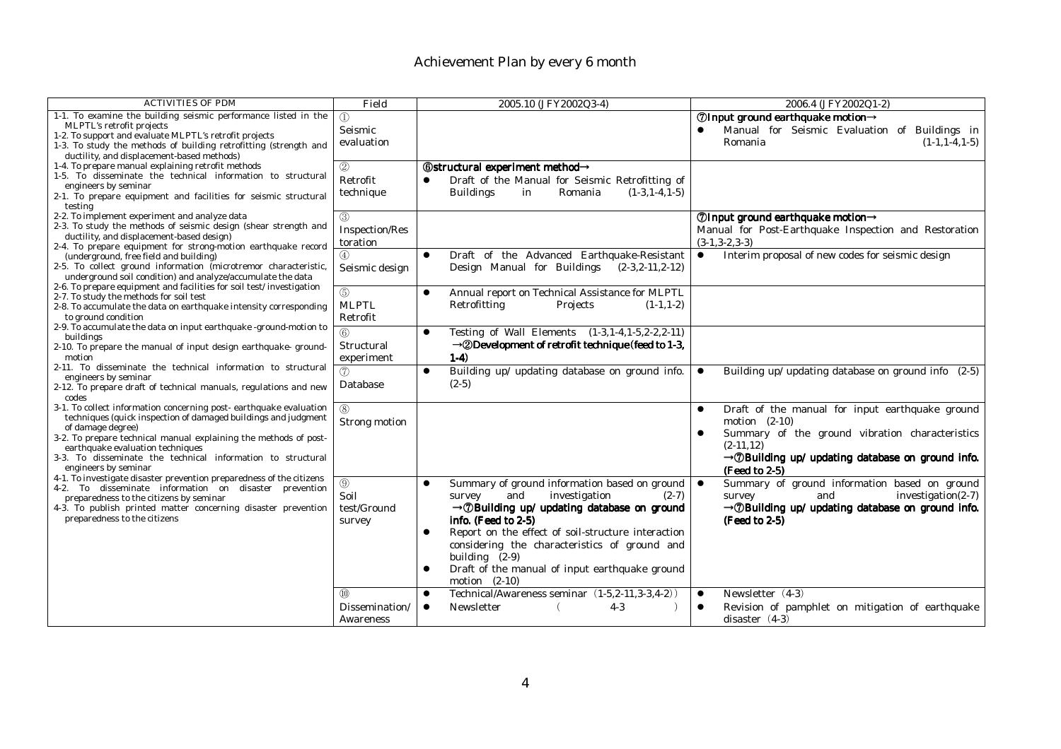| <b>ACTIVITIES OF PDM</b>                                                                                       | Field          | 2005.10 (JFY2002Q3-4)                                            | 2006.4 (JFY2002Q1-2)                                                  |
|----------------------------------------------------------------------------------------------------------------|----------------|------------------------------------------------------------------|-----------------------------------------------------------------------|
| 1-1. To examine the building seismic performance listed in the                                                 | $\mathcal{D}$  |                                                                  | $\oslash$ Input ground earthquake motion $\rightarrow$                |
| MLPTL's retrofit projects                                                                                      | Seismic        |                                                                  | Manual for Seismic Evaluation of Buildings in                         |
| 1-2. To support and evaluate MLPTL's retrofit projects                                                         | evaluation     |                                                                  | $(1-1, 1-4, 1-5)$<br>Romania                                          |
| 1-3. To study the methods of building retrofitting (strength and<br>ductility, and displacement-based methods) |                |                                                                  |                                                                       |
| 1-4. To prepare manual explaining retrofit methods                                                             | 2              | <b>6</b> Structural experiment method→                           |                                                                       |
| 1-5. To disseminate the technical information to structural                                                    |                |                                                                  |                                                                       |
| engineers by seminar                                                                                           | Retrofit       | Draft of the Manual for Seismic Retrofitting of                  |                                                                       |
| 2-1. To prepare equipment and facilities for seismic structural                                                | technique      | <b>Buildings</b><br>Romania<br>$(1-3, 1-4, 1-5)$<br>in           |                                                                       |
| testing                                                                                                        |                |                                                                  |                                                                       |
| 2-2. To implement experiment and analyze data                                                                  | $\circled{3}$  |                                                                  | ⑦Input ground earthquake motion→                                      |
| 2-3. To study the methods of seismic design (shear strength and<br>ductility, and displacement-based design)   | Inspection/Res |                                                                  | Manual for Post-Earthquake Inspection and Restoration                 |
| 2-4. To prepare equipment for strong-motion earthquake record                                                  | toration       |                                                                  | $(3-1, 3-2, 3-3)$                                                     |
| (underground, free field and building)                                                                         | $\circled{4}$  | Draft of the Advanced Earthquake-Resistant<br>$\bullet$          | Interim proposal of new codes for seismic design<br>$\bullet$         |
| 2-5. To collect ground information (microtremor characteristic,                                                | Seismic design | Design Manual for Buildings<br>$(2-3, 2-11, 2-12)$               |                                                                       |
| underground soil condition) and analyze/accumulate the data                                                    |                |                                                                  |                                                                       |
| 2-6. To prepare equipment and facilities for soil test/investigation                                           | (5)            | Annual report on Technical Assistance for MLPTL<br>$\bullet$     |                                                                       |
| 2-7. To study the methods for soil test                                                                        | <b>MLPTL</b>   | Retrofitting<br>Projects<br>$(1-1, 1-2)$                         |                                                                       |
| 2-8. To accumulate the data on earthquake intensity corresponding                                              |                |                                                                  |                                                                       |
| to ground condition<br>2-9. To accumulate the data on input earthquake -ground-motion to                       | Retrofit       |                                                                  |                                                                       |
| buildings                                                                                                      | 6              | Testing of Wall Elements (1-3, 1-4, 1-5, 2-2, 2-11)<br>$\bullet$ |                                                                       |
| 2-10. To prepare the manual of input design earthquake-ground-                                                 | Structural     | $\rightarrow$ 2Development of retrofit technique (feed to 1-3,   |                                                                       |
| motion                                                                                                         | experiment     | $1-4)$                                                           |                                                                       |
| 2-11. To disseminate the technical information to structural                                                   | (7)            | Building up/ updating database on ground info.<br>$\bullet$      | Building up/ updating database on ground info (2-5)<br>$\bullet$      |
| engineers by seminar                                                                                           | Database       | $(2-5)$                                                          |                                                                       |
| 2-12. To prepare draft of technical manuals, regulations and new<br>codes                                      |                |                                                                  |                                                                       |
| 3-1. To collect information concerning post-earthquake evaluation                                              | (8)            |                                                                  | Draft of the manual for input earthquake ground<br>$\bullet$          |
| techniques (quick inspection of damaged buildings and judgment                                                 | Strong motion  |                                                                  | motion $(2-10)$                                                       |
| of damage degree)                                                                                              |                |                                                                  | Summary of the ground vibration characteristics                       |
| 3-2. To prepare technical manual explaining the methods of post-                                               |                |                                                                  | $(2-11.12)$                                                           |
| earthquake evaluation techniques<br>3-3. To disseminate the technical information to structural                |                |                                                                  | $\rightarrow$ <i>D</i> Building up/ updating database on ground info. |
| engineers by seminar                                                                                           |                |                                                                  |                                                                       |
| 4-1. To investigate disaster prevention preparedness of the citizens                                           |                |                                                                  | (Feed to 2-5)                                                         |
| 4-2. To disseminate information on disaster prevention                                                         | $\circledS$    | Summary of ground information based on ground<br>$\bullet$       | Summary of ground information based on ground<br>$\bullet$            |
| preparedness to the citizens by seminar                                                                        | Soil           | and<br>investigation<br>$(2-7)$<br>survey                        | $investigation(2-7)$<br>and<br>survey                                 |
| 4-3. To publish printed matter concerning disaster prevention                                                  | test/Ground    | $\rightarrow$ <i>D</i> Building up/ updating database on ground  | $\rightarrow$ <i>D</i> Building up/ updating database on ground info. |
| preparedness to the citizens                                                                                   | survey         | info. (Feed to 2-5)                                              | (Feed to 2-5)                                                         |
|                                                                                                                |                | Report on the effect of soil-structure interaction<br>$\bullet$  |                                                                       |
|                                                                                                                |                | considering the characteristics of ground and                    |                                                                       |
|                                                                                                                |                | building (2-9)                                                   |                                                                       |
|                                                                                                                |                | Draft of the manual of input earthquake ground                   |                                                                       |
|                                                                                                                |                | motion $(2-10)$                                                  |                                                                       |
|                                                                                                                | $\omega$       | Technical/Awareness seminar (1-5,2-11,3-3,4-2))                  | Newsletter (4-3)<br>$\bullet$                                         |
|                                                                                                                | Dissemination/ | $4-3$<br>Newsletter<br>$\bullet$                                 | Revision of pamphlet on mitigation of earthquake                      |
|                                                                                                                | Awareness      |                                                                  | disaster $(4-3)$                                                      |